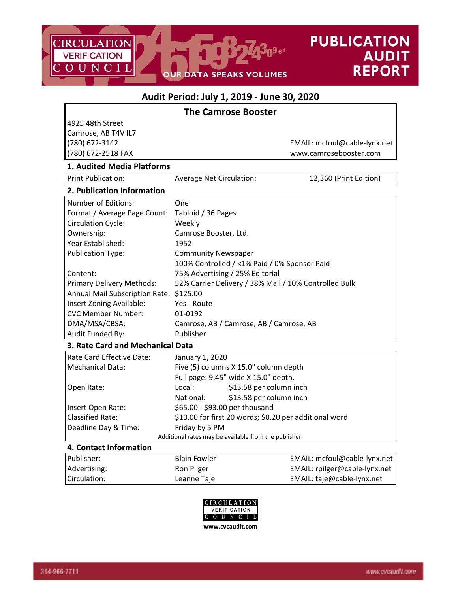

٦

# **Audit Period: July 1, 2019 ‐ June 30, 2020**

|                                         | <b>The Camrose Booster</b>                             |  |  |
|-----------------------------------------|--------------------------------------------------------|--|--|
| 4925 48th Street                        |                                                        |  |  |
| Camrose, AB T4V IL7                     |                                                        |  |  |
| (780) 672-3142                          | EMAIL: mcfoul@cable-lynx.net                           |  |  |
| (780) 672-2518 FAX                      | www.camrosebooster.com                                 |  |  |
| 1. Audited Media Platforms              |                                                        |  |  |
| <b>Print Publication:</b>               | Average Net Circulation:<br>12,360 (Print Edition)     |  |  |
| 2. Publication Information              |                                                        |  |  |
| <b>Number of Editions:</b>              | One                                                    |  |  |
| Format / Average Page Count:            | Tabloid / 36 Pages                                     |  |  |
| <b>Circulation Cycle:</b>               | Weekly                                                 |  |  |
| Ownership:                              | Camrose Booster, Ltd.                                  |  |  |
| Year Established:                       | 1952                                                   |  |  |
| <b>Publication Type:</b>                | <b>Community Newspaper</b>                             |  |  |
|                                         | 100% Controlled / <1% Paid / 0% Sponsor Paid           |  |  |
| Content:                                | 75% Advertising / 25% Editorial                        |  |  |
| Primary Delivery Methods:               | 52% Carrier Delivery / 38% Mail / 10% Controlled Bulk  |  |  |
| Annual Mail Subscription Rate: \$125.00 |                                                        |  |  |
| Insert Zoning Available:                | Yes - Route                                            |  |  |
| <b>CVC Member Number:</b>               | 01-0192                                                |  |  |
| DMA/MSA/CBSA:                           | Camrose, AB / Camrose, AB / Camrose, AB                |  |  |
| Audit Funded By:                        | Publisher                                              |  |  |
| 3. Rate Card and Mechanical Data        |                                                        |  |  |
| Rate Card Effective Date:               | January 1, 2020                                        |  |  |
| <b>Mechanical Data:</b>                 | Five (5) columns X 15.0" column depth                  |  |  |
|                                         | Full page: 9.45" wide X 15.0" depth.                   |  |  |
| Open Rate:                              | Local:<br>\$13.58 per column inch                      |  |  |
|                                         | \$13.58 per column inch<br>National:                   |  |  |
| Insert Open Rate:                       | \$65.00 - \$93.00 per thousand                         |  |  |
| <b>Classified Rate:</b>                 | \$10.00 for first 20 words; \$0.20 per additional word |  |  |
| Deadline Day & Time:                    | Friday by 5 PM                                         |  |  |
|                                         | Additional rates may be available from the publisher.  |  |  |
| 4. Contact Information                  |                                                        |  |  |

## Publisher: Blain Fowler Blain Fowler EMAIL: mcfoul@cable-lynx.net Advertising: Ron Pilger Ron Pilger EMAIL: rpilger@cable-lynx.net Circulation: Leanne Taje EMAIL: taje@cable‐lynx.net



г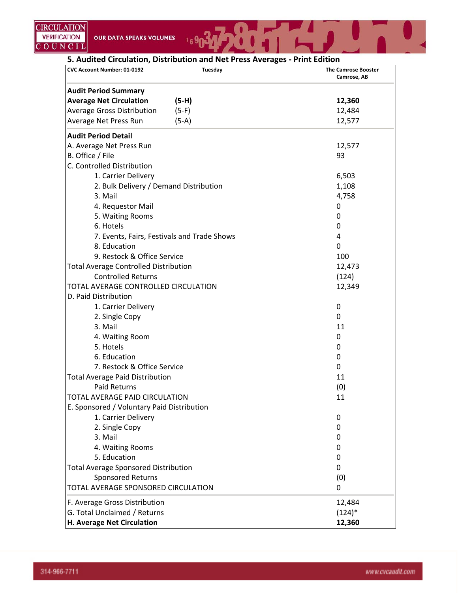**5. Audited Circulation, Distribution and Net Press Averages ‐ Print Edition**

 $169$ 

| <b>Tuesday</b><br>CVC Account Number: 01-0192 | <b>The Camrose Booster</b><br>Camrose, AB |
|-----------------------------------------------|-------------------------------------------|
| <b>Audit Period Summary</b>                   |                                           |
| <b>Average Net Circulation</b><br>$(5-H)$     | 12,360                                    |
| <b>Average Gross Distribution</b><br>$(5-F)$  | 12,484                                    |
| Average Net Press Run<br>$(5-A)$              | 12,577                                    |
| <b>Audit Period Detail</b>                    |                                           |
| A. Average Net Press Run                      | 12,577                                    |
| B. Office / File                              | 93                                        |
| C. Controlled Distribution                    |                                           |
| 1. Carrier Delivery                           | 6,503                                     |
| 2. Bulk Delivery / Demand Distribution        | 1,108                                     |
| 3. Mail                                       | 4,758                                     |
| 4. Requestor Mail                             | 0                                         |
| 5. Waiting Rooms                              | 0                                         |
| 6. Hotels                                     | 0                                         |
| 7. Events, Fairs, Festivals and Trade Shows   | 4                                         |
| 8. Education                                  | 0                                         |
| 9. Restock & Office Service                   | 100                                       |
| <b>Total Average Controlled Distribution</b>  | 12,473                                    |
| <b>Controlled Returns</b>                     | (124)                                     |
| TOTAL AVERAGE CONTROLLED CIRCULATION          | 12,349                                    |
| D. Paid Distribution                          |                                           |
| 1. Carrier Delivery                           | 0                                         |
| 2. Single Copy                                | 0                                         |
| 3. Mail                                       | 11                                        |
| 4. Waiting Room                               | 0                                         |
| 5. Hotels                                     | 0                                         |
| 6. Education                                  | 0                                         |
| 7. Restock & Office Service                   | 0                                         |
| <b>Total Average Paid Distribution</b>        | 11                                        |
| <b>Paid Returns</b>                           | (0)                                       |
| TOTAL AVERAGE PAID CIRCULATION                | 11                                        |
| E. Sponsored / Voluntary Paid Distribution    |                                           |
| 1. Carrier Delivery                           | 0                                         |
| 2. Single Copy                                | 0                                         |
| 3. Mail                                       | 0                                         |
| 4. Waiting Rooms                              | 0                                         |
| 5. Education                                  | 0                                         |
| <b>Total Average Sponsored Distribution</b>   | 0                                         |
| Sponsored Returns                             | (0)                                       |
| TOTAL AVERAGE SPONSORED CIRCULATION           | 0                                         |
| F. Average Gross Distribution                 | 12,484                                    |
| G. Total Unclaimed / Returns                  | $(124)^*$                                 |
| H. Average Net Circulation                    | 12,360                                    |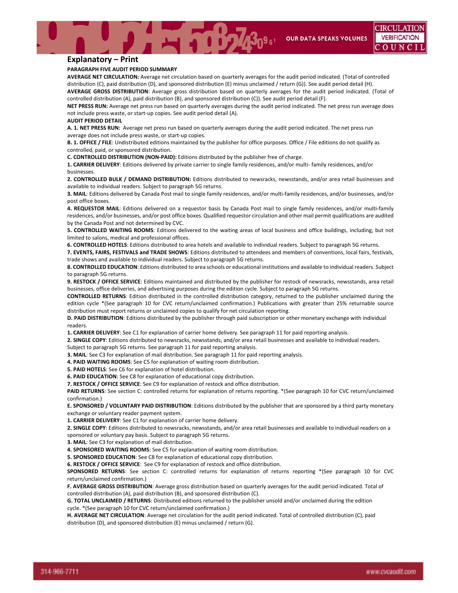**OUR DATA SPEAKS VOLUMES** 

#### **Explanatory – Print**

#### **PARAGRAPH FIVE AUDIT PERIOD SUMMARY**

**AVERAGE NET CIRCULATION:** Average net circulation based on quarterly averages for the audit period indicated. (Total of controlled distribution (C), paid distribution (D), and sponsored distribution (E) minus unclaimed / return (G)). See audit period detail (H). **AVERAGE GROSS DISTRIBUTION**: Average gross distribution based on quarterly averages for the audit period indicated. (Total of

controlled distribution (A), paid distribution (B), and sponsored distribution (C)). See audit period detail (F). **NET PRESS RUN:** Average net press run based on quarterly averages during the audit period indicated. The net press run average does

not include press waste, or start‐up copies. See audit period detail (A).

#### **AUDIT PERIOD DETAIL**

**A. 1. NET PRESS RUN:** Average net press run based on quarterly averages during the audit period indicated. The net press run average does not include press waste, or start‐up copies.

**B. 1. OFFICE / FILE**: Undistributed editions maintained by the publisher for office purposes. Office / File editions do not qualify as controlled, paid, or sponsored distribution.

**C. CONTROLLED DISTRIBUTION (NON‐PAID):** Editions distributed by the publisher free of charge.

**1. CARRIER DELIVERY**: Editions delivered by private carrier to single family residences, and/or multi‐ family residences, and/or businesses.

**2. CONTROLLED BULK / DEMAND DISTRIBUTION:** Editions distributed to newsracks, newsstands, and/or area retail businesses and available to individual readers. Subject to paragraph 5G returns.

**3. MAIL**: Editions delivered by Canada Post mail to single family residences, and/or multi‐family residences, and/or businesses, and/or post office boxes.

**4. REQUESTOR MAIL**: Editions delivered on a requestor basis by Canada Post mail to single family residences, and/or multi‐family residences, and/or businesses, and/or post office boxes. Qualified requestor circulation and other mail permit qualifications are audited by the Canada Post and not determined by CVC.

**5. CONTROLLED WAITING ROOMS**: Editions delivered to the waiting areas of local business and office buildings, including, but not limited to salons, medical and professional offices.

**6. CONTROLLED HOTELS**: Editions distributed to area hotels and available to individual readers. Subject to paragraph 5G returns.

**7. EVENTS, FAIRS, FESTIVALS and TRADE SHOWS**: Editions distributed to attendees and members of conventions, local fairs, festivals, trade shows and available to individual readers. Subject to paragraph 5G returns.

**8. CONTROLLED EDUCATION**: Editions distributed to area schools or educational institutions and available to individual readers. Subject to paragraph 5G returns.

**9. RESTOCK / OFFICE SERVICE**: Editions maintained and distributed by the publisher for restock of newsracks, newsstands, area retail businesses, office deliveries, and advertising purposes during the edition cycle. Subject to paragraph 5G returns.

**CONTROLLED RETURNS**: Edition distributed in the controlled distribution category, returned to the publisher unclaimed during the edition cycle \*(See paragraph 10 for CVC return/unclaimed confirmation.) Publications with greater than 25% returnable source distribution must report returns or unclaimed copies to qualify for net circulation reporting.

**D. PAID DISTRIBUTION**: Editions distributed by the publisher through paid subscription or other monetary exchange with individual readers.

**1. CARRIER DELIVERY**: See C1 for explanation of carrier home delivery. See paragraph 11 for paid reporting analysis.

**2. SINGLE COPY**: Editions distributed to newsracks, newsstands, and/or area retail businesses and available to individual readers.

Subject to paragraph 5G returns. See paragraph 11 for paid reporting analysis. **3. MAIL**: See C3 for explanation of mail distribution. See paragraph 11 for paid reporting analysis.

**4. PAID WAITING ROOMS**: See C5 for explanation of waiting room distribution.

**5. PAID HOTELS**: See C6 for explanation of hotel distribution.

**6. PAID EDUCATION**: See C8 for explanation of educational copy distribution.

**7. RESTOCK / OFFICE SERVICE**: See C9 for explanation of restock and office distribution.

**PAID RETURNS**: See section C: controlled returns for explanation of returns reporting. \*(See paragraph 10 for CVC return/unclaimed confirmation.)

**E. SPONSORED / VOLUNTARY PAID DISTRIBUTION**: Editions distributed by the publisher that are sponsored by a third party monetary exchange or voluntary reader payment system.

**1. CARRIER DELIVERY**: See C1 for explanation of carrier home delivery.

**2. SINGLE COPY**: Editions distributed to newsracks, newsstands, and/or area retail businesses and available to individual readers on a sponsored or voluntary pay basis. Subject to paragraph 5G returns.

**3. MAIL**: See C3 for explanation of mail distribution.

**4. SPONSORED WAITING ROOMS**: See C5 for explanation of waiting room distribution.

**5. SPONSORED EDUCATION**: See C8 for explanation of educational copy distribution.

**6. RESTOCK / OFFICE SERVICE**: See C9 for explanation of restock and office distribution.

**SPONSORED RETURNS**: See section C: controlled returns for explanation of returns reporting \*(See paragraph 10 for CVC return/unclaimed confirmation.)

**F. AVERAGE GROSS DISTRIBUTION**: Average gross distribution based on quarterly averages for the audit period indicated. Total of controlled distribution (A), paid distribution (B), and sponsored distribution (C).

**G. TOTAL UNCLAIMED / RETURNS**: Distributed editions returned to the publisher unsold and/or unclaimed during the edition cycle. \*(See paragraph 10 for CVC return/unclaimed confirmation.)

**H. AVERAGE NET CIRCULATION**: Average net circulation for the audit period indicated. Total of controlled distribution (C), paid distribution (D), and sponsored distribution (E) minus unclaimed / return (G).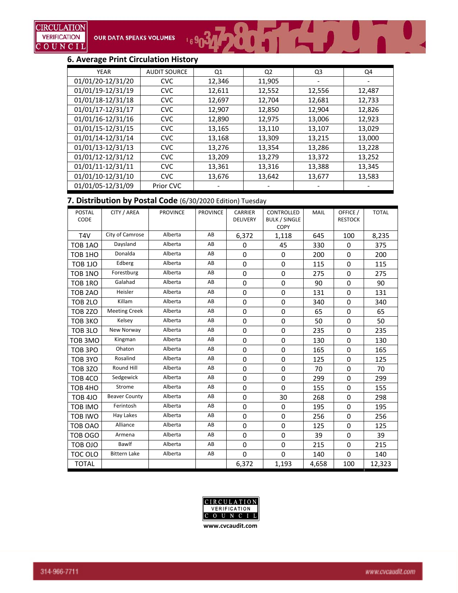## **6. Average Print Circulation History**

| <b>YEAR</b>       | <b>AUDIT SOURCE</b> | Q1     | Q <sub>2</sub> | Q3     | Q4     |
|-------------------|---------------------|--------|----------------|--------|--------|
| 01/01/20-12/31/20 | <b>CVC</b>          | 12,346 | 11,905         |        |        |
| 01/01/19-12/31/19 | <b>CVC</b>          | 12,611 | 12,552         | 12,556 | 12,487 |
| 01/01/18-12/31/18 | <b>CVC</b>          | 12,697 | 12,704         | 12,681 | 12,733 |
| 01/01/17-12/31/17 | <b>CVC</b>          | 12,907 | 12,850         | 12,904 | 12,826 |
| 01/01/16-12/31/16 | <b>CVC</b>          | 12,890 | 12,975         | 13,006 | 12,923 |
| 01/01/15-12/31/15 | <b>CVC</b>          | 13,165 | 13,110         | 13,107 | 13,029 |
| 01/01/14-12/31/14 | <b>CVC</b>          | 13,168 | 13,309         | 13,215 | 13,000 |
| 01/01/13-12/31/13 | <b>CVC</b>          | 13,276 | 13,354         | 13,286 | 13,228 |
| 01/01/12-12/31/12 | <b>CVC</b>          | 13,209 | 13,279         | 13,372 | 13,252 |
| 01/01/11-12/31/11 | <b>CVC</b>          | 13,361 | 13,316         | 13,388 | 13,345 |
| 01/01/10-12/31/10 | <b>CVC</b>          | 13,676 | 13,642         | 13,677 | 13,583 |
| 01/01/05-12/31/09 | Prior CVC           |        |                |        |        |

 $\frac{1}{2}$   $\frac{3}{2}$   $\frac{1}{2}$   $\frac{1}{2}$   $\frac{1}{2}$   $\frac{1}{2}$   $\frac{1}{2}$   $\frac{1}{2}$ 

#### **7. Distribution by Postal Code** (6/30/2020 Edition) Tuesday

| <b>POSTAL</b><br>CODE | CITY / AREA          | <b>PROVINCE</b> | <b>PROVINCE</b> | <b>CARRIER</b><br><b>DELIVERY</b> | CONTROLLED<br><b>BULK / SINGLE</b><br>COPY | <b>MAIL</b> | OFFICE /<br><b>RESTOCK</b> | <b>TOTAL</b> |
|-----------------------|----------------------|-----------------|-----------------|-----------------------------------|--------------------------------------------|-------------|----------------------------|--------------|
| T <sub>4V</sub>       | City of Camrose      | Alberta         | AB              | 6,372                             | 1,118                                      | 645         | 100                        | 8,235        |
| TOB 1AO               | Daysland             | Alberta         | AB              | 0                                 | 45                                         | 330         | 0                          | 375          |
| TOB <sub>1HO</sub>    | Donalda              | Alberta         | AB              | 0                                 | $\mathbf 0$                                | 200         | $\Omega$                   | 200          |
| <b>TOB 1JO</b>        | Edberg               | Alberta         | AB              | 0                                 | $\mathbf 0$                                | 115         | $\mathbf 0$                | 115          |
| TOB <sub>1NO</sub>    | Forestburg           | Alberta         | AB              | 0                                 | $\Omega$                                   | 275         | $\Omega$                   | 275          |
| TOB <sub>1RO</sub>    | Galahad              | Alberta         | AB              | 0                                 | 0                                          | 90          | $\mathbf 0$                | 90           |
| TOB <sub>2AO</sub>    | Heisler              | Alberta         | AB              | 0                                 | $\mathbf 0$                                | 131         | $\mathbf 0$                | 131          |
| <b>TOB 2LO</b>        | Killam               | Alberta         | AB              | 0                                 | 0                                          | 340         | 0                          | 340          |
| <b>TOB 2ZO</b>        | <b>Meeting Creek</b> | Alberta         | AB              | 0                                 | $\mathbf 0$                                | 65          | $\mathbf 0$                | 65           |
| TOB <sub>3</sub> KO   | Kelsey               | Alberta         | AB              | $\Omega$                          | $\Omega$                                   | 50          | $\Omega$                   | 50           |
| TOB 3LO               | New Norway           | Alberta         | AB              | 0                                 | 0                                          | 235         | 0                          | 235          |
| TOB <sub>3MO</sub>    | Kingman              | Alberta         | AB              | 0                                 | $\mathbf 0$                                | 130         | $\mathbf 0$                | 130          |
| TOB <sub>3PO</sub>    | Ohaton               | Alberta         | AB              | 0                                 | $\Omega$                                   | 165         | $\Omega$                   | 165          |
| TOB 3YO               | Rosalind             | Alberta         | AB              | 0                                 | $\mathbf 0$                                | 125         | $\mathbf 0$                | 125          |
| <b>TOB 3ZO</b>        | Round Hill           | Alberta         | AB              | 0                                 | $\Omega$                                   | 70          | $\Omega$                   | 70           |
| TOB <sub>4</sub> CO   | Sedgewick            | Alberta         | AB              | $\boldsymbol{0}$                  | $\mathbf 0$                                | 299         | $\mathbf 0$                | 299          |
| TOB 4HO               | Strome               | Alberta         | AB              | 0                                 | $\Omega$                                   | 155         | $\Omega$                   | 155          |
| TOB <sub>4JO</sub>    | <b>Beaver County</b> | Alberta         | AB              | 0                                 | 30                                         | 268         | $\mathbf 0$                | 298          |
| TOB IMO               | Ferintosh            | Alberta         | AB              | 0                                 | $\mathbf 0$                                | 195         | $\mathbf 0$                | 195          |
| <b>TOB IWO</b>        | Hay Lakes            | Alberta         | AB              | 0                                 | $\mathbf 0$                                | 256         | $\mathbf 0$                | 256          |
| TOB OAO               | Alliance             | Alberta         | AB              | 0                                 | $\mathbf 0$                                | 125         | $\mathbf 0$                | 125          |
| TOB OGO               | Armena               | Alberta         | AB              | 0                                 | $\Omega$                                   | 39          | $\Omega$                   | 39           |
| <b>TOB OJO</b>        | Bawlf                | Alberta         | AB              | 0                                 | 0                                          | 215         | $\mathbf 0$                | 215          |
| TOC OLO               | <b>Bittern Lake</b>  | Alberta         | AB              | $\Omega$                          | $\mathbf 0$                                | 140         | $\mathbf 0$                | 140          |
| <b>TOTAL</b>          |                      |                 |                 | 6,372                             | 1,193                                      | 4,658       | 100                        | 12,323       |

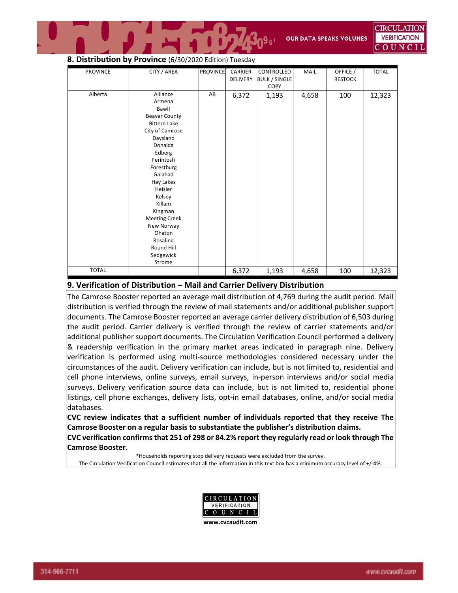### **8. Distribution by Province** (6/30/2020 Edition) Tuesday

| <b>PROVINCE</b> | CITY / AREA          | <b>PROVINCE</b> | CARRIER<br>DELIVERY | CONTROLLED<br><b>BULK / SINGLE</b><br>COPY | <b>MAIL</b> | OFFICE /<br><b>RESTOCK</b> | <b>TOTAL</b> |
|-----------------|----------------------|-----------------|---------------------|--------------------------------------------|-------------|----------------------------|--------------|
| Alberta         | Alliance             | AB              | 6,372               | 1,193                                      | 4,658       | 100                        | 12,323       |
|                 | Armena               |                 |                     |                                            |             |                            |              |
|                 | Bawlf                |                 |                     |                                            |             |                            |              |
|                 | <b>Beaver County</b> |                 |                     |                                            |             |                            |              |
|                 | <b>Bittern Lake</b>  |                 |                     |                                            |             |                            |              |
|                 | City of Camrose      |                 |                     |                                            |             |                            |              |
|                 | Daysland             |                 |                     |                                            |             |                            |              |
|                 | Donalda              |                 |                     |                                            |             |                            |              |
|                 | Edberg               |                 |                     |                                            |             |                            |              |
|                 | Ferintosh            |                 |                     |                                            |             |                            |              |
|                 | Forestburg           |                 |                     |                                            |             |                            |              |
|                 | Galahad              |                 |                     |                                            |             |                            |              |
|                 | Hay Lakes            |                 |                     |                                            |             |                            |              |
|                 | Heisler              |                 |                     |                                            |             |                            |              |
|                 | Kelsey               |                 |                     |                                            |             |                            |              |
|                 | Killam               |                 |                     |                                            |             |                            |              |
|                 | Kingman              |                 |                     |                                            |             |                            |              |
|                 | <b>Meeting Creek</b> |                 |                     |                                            |             |                            |              |
|                 | New Norway           |                 |                     |                                            |             |                            |              |
|                 | Ohaton               |                 |                     |                                            |             |                            |              |
|                 | Rosalind             |                 |                     |                                            |             |                            |              |
|                 | Round Hill           |                 |                     |                                            |             |                            |              |
|                 | Sedgewick            |                 |                     |                                            |             |                            |              |
|                 | Strome               |                 |                     |                                            |             |                            |              |
| <b>TOTAL</b>    |                      |                 | 6,372               | 1,193                                      | 4,658       | 100                        | 12,323       |

**T** 

#### **9. Verification of Distribution – Mail and Carrier Delivery Distribution**

The Camrose Booster reported an average mail distribution of 4,769 during the audit period. Mail distribution is verified through the review of mail statements and/or additional publisher support documents. The Camrose Booster reported an average carrier delivery distribution of 6,503 during the audit period. Carrier delivery is verified through the review of carrier statements and/or additional publisher support documents. The Circulation Verification Council performed a delivery & readership verification in the primary market areas indicated in paragraph nine. Delivery verification is performed using multi‐source methodologies considered necessary under the circumstances of the audit. Delivery verification can include, but is not limited to, residential and cell phone interviews, online surveys, email surveys, in‐person interviews and/or social media surveys. Delivery verification source data can include, but is not limited to, residential phone listings, cell phone exchanges, delivery lists, opt-in email databases, online, and/or social media databases.

**CVC review indicates that a sufficient number of individuals reported that they receive The Camrose Booster on a regular basis to substantiate the publisher's distribution claims. CVC verification confirmsthat 251 of 298 or 84.2% report they regularly read or look through The**

**Camrose Booster.**

\*Households reporting stop delivery requests were excluded from the survey. The Circulation Verification Council estimates that all the information in this text box has a minimum accuracy level of +/‐4%.

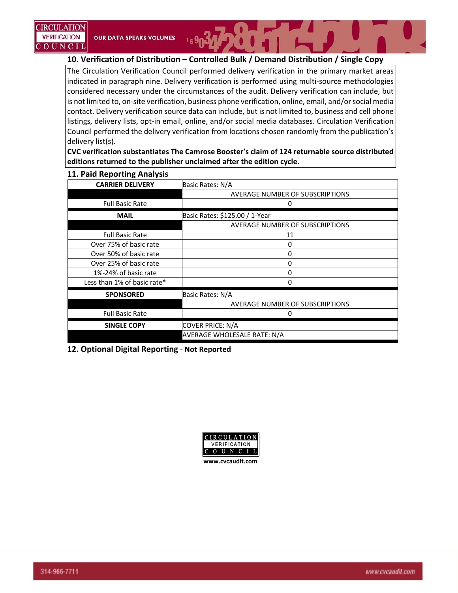**10. Verification of Distribution – Controlled Bulk / Demand Distribution / Single Copy**

The Circulation Verification Council performed delivery verification in the primary market areas indicated in paragraph nine. Delivery verification is performed using multi‐source methodologies considered necessary under the circumstances of the audit. Delivery verification can include, but is not limited to, on-site verification, business phone verification, online, email, and/or social media contact. Delivery verification source data can include, but is not limited to, business and cell phone listings, delivery lists, opt-in email, online, and/or social media databases. Circulation Verification Council performed the delivery verification from locations chosen randomly from the publication's delivery list(s).

**CVC verification substantiates The Camrose Booster's claim of 124 returnable source distributed editions returned to the publisher unclaimed after the edition cycle.**

| <b>CARRIER DELIVERY</b>     | Basic Rates: N/A                |
|-----------------------------|---------------------------------|
|                             | AVERAGE NUMBER OF SUBSCRIPTIONS |
| <b>Full Basic Rate</b>      | O                               |
| <b>MAIL</b>                 | Basic Rates: \$125.00 / 1-Year  |
|                             | AVERAGE NUMBER OF SUBSCRIPTIONS |
| <b>Full Basic Rate</b>      | 11                              |
| Over 75% of basic rate      | 0                               |
| Over 50% of basic rate      | 0                               |
| Over 25% of basic rate      | 0                               |
| 1%-24% of basic rate        | 0                               |
| Less than 1% of basic rate* | 0                               |
| <b>SPONSORED</b>            | Basic Rates: N/A                |
|                             | AVERAGE NUMBER OF SUBSCRIPTIONS |
| <b>Full Basic Rate</b>      | 0                               |
| <b>SINGLE COPY</b>          | <b>COVER PRICE: N/A</b>         |
|                             | AVERAGE WHOLESALE RATE: N/A     |

#### **11. Paid Reporting Analysis**

**12. Optional Digital Reporting** ‐ **Not Reported** 

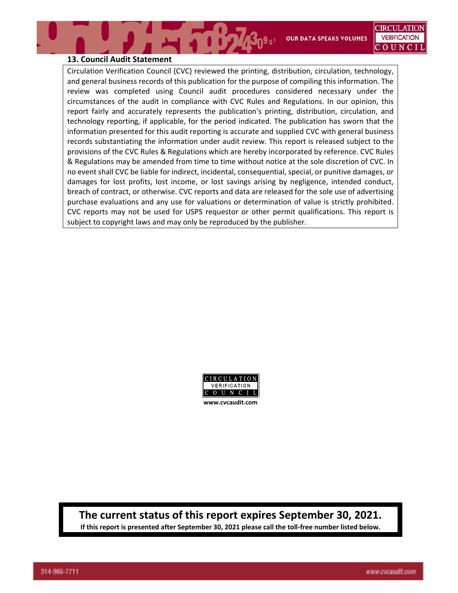**OUR DATA SPEAKS VOLUMES** 

### **13. Council Audit Statement**

Circulation Verification Council (CVC) reviewed the printing, distribution, circulation, technology, and general business records of this publication for the purpose of compiling this information. The review was completed using Council audit procedures considered necessary under the circumstances of the audit in compliance with CVC Rules and Regulations. In our opinion, this report fairly and accurately represents the publication's printing, distribution, circulation, and technology reporting, if applicable, for the period indicated. The publication has sworn that the information presented for this audit reporting is accurate and supplied CVC with general business records substantiating the information under audit review. This report is released subject to the provisions of the CVC Rules & Regulations which are hereby incorporated by reference. CVC Rules & Regulations may be amended from time to time without notice at the sole discretion of CVC. In no event shall CVC be liable for indirect, incidental, consequential, special, or punitive damages, or damages for lost profits, lost income, or lost savings arising by negligence, intended conduct, breach of contract, or otherwise. CVC reports and data are released for the sole use of advertising purchase evaluations and any use for valuations or determination of value is strictly prohibited. CVC reports may not be used for USPS requestor or other permit qualifications. This report is subject to copyright laws and may only be reproduced by the publisher.

**RODOMB** 



# **The current status of this report expires September 30, 2021.**

If this report is presented after September 30, 2021 please call the toll-free number listed below.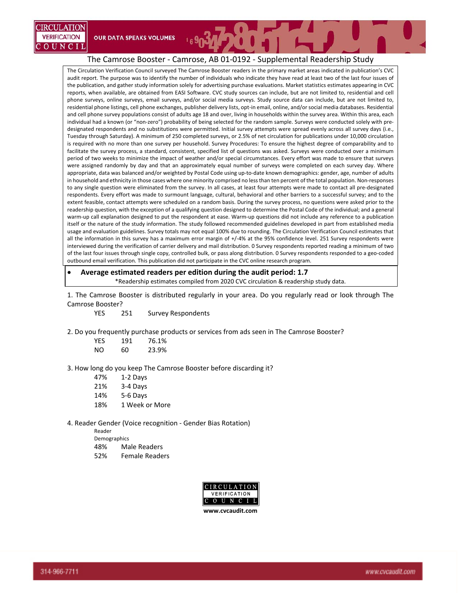The Circulation Verification Council surveyed The Camrose Booster readers in the primary market areas indicated in publication's CVC audit report. The purpose was to identify the number of individuals who indicate they have read at least two of the last four issues of the publication, and gather study information solely for advertising purchase evaluations. Market statistics estimates appearing in CVC reports, when available, are obtained from EASI Software. CVC study sources can include, but are not limited to, residential and cell phone surveys, online surveys, email surveys, and/or social media surveys. Study source data can include, but are not limited to, residential phone listings, cell phone exchanges, publisher delivery lists, opt‐in email, online, and/or social media databases. Residential and cell phone survey populations consist of adults age 18 and over, living in households within the survey area. Within this area, each individual had a known (or "non-zero") probability of being selected for the random sample. Surveys were conducted solely with predesignated respondents and no substitutions were permitted. Initial survey attempts were spread evenly across all survey days (i.e., Tuesday through Saturday). A minimum of 250 completed surveys, or 2.5% of net circulation for publications under 10,000 circulation is required with no more than one survey per household. Survey Procedures: To ensure the highest degree of comparability and to facilitate the survey process, a standard, consistent, specified list of questions was asked. Surveys were conducted over a minimum period of two weeks to minimize the impact of weather and/or special circumstances. Every effort was made to ensure that surveys were assigned randomly by day and that an approximately equal number of surveys were completed on each survey day. Where appropriate, data was balanced and/or weighted by Postal Code using up‐to‐date known demographics: gender, age, number of adults in household and ethnicity in those cases where one minority comprised no lessthan ten percent of the total population. Non‐responses to any single question were eliminated from the survey. In all cases, at least four attempts were made to contact all pre‐designated respondents. Every effort was made to surmount language, cultural, behavioral and other barriers to a successful survey; and to the extent feasible, contact attempts were scheduled on a random basis. During the survey process, no questions were asked prior to the readership question, with the exception of a qualifying question designed to determine the Postal Code of the individual; and a general warm-up call explanation designed to put the respondent at ease. Warm-up questions did not include any reference to a publication itself or the nature of the study information. The study followed recommended guidelines developed in part from established media usage and evaluation guidelines. Survey totals may not equal 100% due to rounding. The Circulation Verification Council estimates that all the information in this survey has a maximum error margin of +/‐4% at the 95% confidence level. 251 Survey respondents were interviewed during the verification of carrier delivery and mail distribution. 0 Survey respondents reported reading a minimum of two of the last four issues through single copy, controlled bulk, or pass along distribution. 0 Survey respondents responded to a geo‐coded outbound email verification. This publication did not participate in the CVC online research program.

 **Average estimated readers per edition during the audit period: 1.7** \*Readership estimates compiled from 2020 CVC circulation & readership study data.

1. The Camrose Booster is distributed regularly in your area. Do you regularly read or look through The Camrose Booster?

YES 251 Survey Respondents

2. Do you frequently purchase products or services from ads seen in The Camrose Booster?

| YES | 191 | 76.1% |
|-----|-----|-------|
| NO  | 60  | 23.9% |

**OUR DATA SPEAKS VOLUMES** 

3. How long do you keep The Camrose Booster before discarding it?

| 47% | 1-2 Days       |
|-----|----------------|
| 21% | 3-4 Days       |
| 14% | 5-6 Days       |
| 18% | 1 Week or More |
|     |                |

4. Reader Gender (Voice recognition ‐ Gender Bias Rotation)

Reader

Demographics

- 48% Male Readers
- 52% Female Readers



IRCULATION **VERIFICATION** 

OUNCIL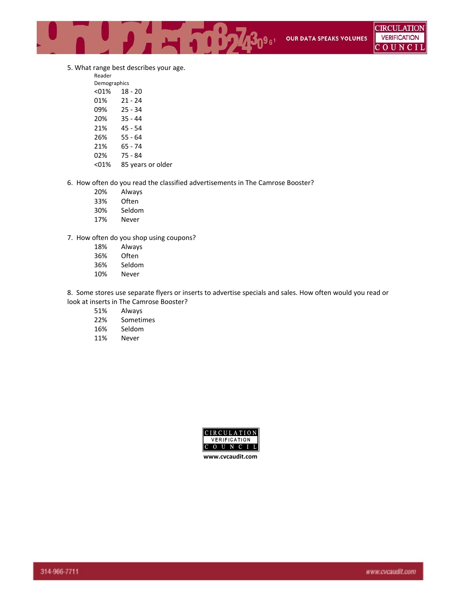5. What range best describes your age.

Reader

| Demographics |                   |
|--------------|-------------------|
| $01%$        | $18 - 20$         |
| 01%          | $21 - 24$         |
| 09%          | $25 - 34$         |
| 20%          | 35 - 44           |
| 21%          | 45 - 54           |
| 26%          | $55 - 64$         |
| 21%          | 65 - 74           |
| 02%          | 75 - 84           |
| $01%$        | 85 years or older |

6. How often do you read the classified advertisements in The Camrose Booster?

- 20% Always
- 33% Often
- 30% Seldom
- 17% Never

7. How often do you shop using coupons?

- 18% Always **Often**
- 
- 36% Seldom
- 10% Never

8. Some stores use separate flyers or inserts to advertise specials and sales. How often would you read or look at inserts in The Camrose Booster?

- 51% Always
- 22% Sometimes
- 16% Seldom
- 11% Never



**www.cvcaudit.com**